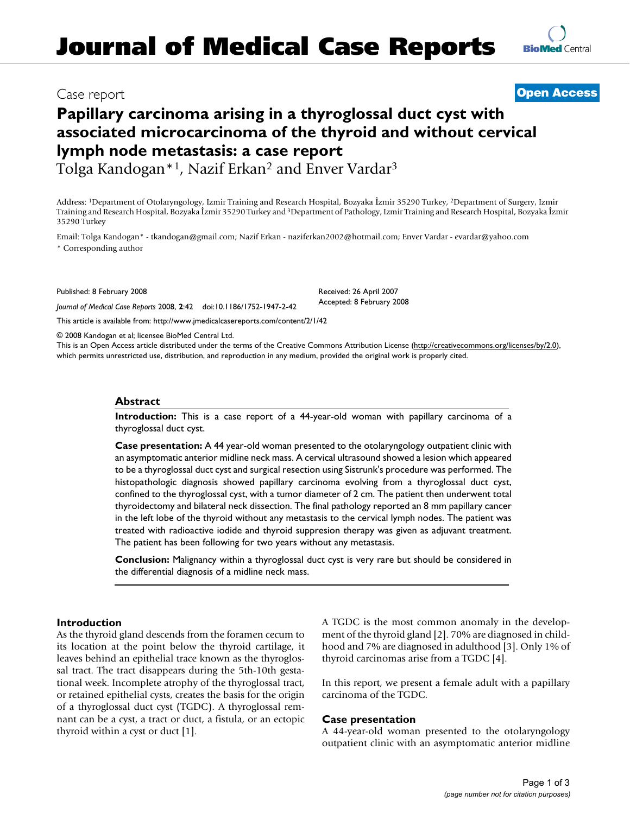# Case report **[Open Access](http://www.biomedcentral.com/info/about/charter/)**

# **Papillary carcinoma arising in a thyroglossal duct cyst with associated microcarcinoma of the thyroid and without cervical lymph node metastasis: a case report**

Tolga Kandogan\*1, Nazif Erkan2 and Enver Vardar3

Address: 1Department of Otolaryngology, Izmir Training and Research Hospital, Bozyaka İzmir 35290 Turkey, 2Department of Surgery, Izmir Training and Research Hospital, Bozyaka İzmir 35290 Turkey and 3Department of Pathology, Izmir Training and Research Hospital, Bozyaka İzmir 35290 Turkey

> Received: 26 April 2007 Accepted: 8 February 2008

Email: Tolga Kandogan\* - tkandogan@gmail.com; Nazif Erkan - naziferkan2002@hotmail.com; Enver Vardar - evardar@yahoo.com \* Corresponding author

Published: 8 February 2008

*Journal of Medical Case Reports* 2008, **2**:42 doi:10.1186/1752-1947-2-42

[This article is available from: http://www.jmedicalcasereports.com/content/2/1/42](http://www.jmedicalcasereports.com/content/2/1/42)

© 2008 Kandogan et al; licensee BioMed Central Ltd.

This is an Open Access article distributed under the terms of the Creative Commons Attribution License [\(http://creativecommons.org/licenses/by/2.0\)](http://creativecommons.org/licenses/by/2.0), which permits unrestricted use, distribution, and reproduction in any medium, provided the original work is properly cited.

# **Abstract**

**Introduction:** This is a case report of a 44-year-old woman with papillary carcinoma of a thyroglossal duct cyst.

**Case presentation:** A 44 year-old woman presented to the otolaryngology outpatient clinic with an asymptomatic anterior midline neck mass. A cervical ultrasound showed a lesion which appeared to be a thyroglossal duct cyst and surgical resection using Sistrunk's procedure was performed. The histopathologic diagnosis showed papillary carcinoma evolving from a thyroglossal duct cyst, confined to the thyroglossal cyst, with a tumor diameter of 2 cm. The patient then underwent total thyroidectomy and bilateral neck dissection. The final pathology reported an 8 mm papillary cancer in the left lobe of the thyroid without any metastasis to the cervical lymph nodes. The patient was treated with radioactive iodide and thyroid suppresion therapy was given as adjuvant treatment. The patient has been following for two years without any metastasis.

**Conclusion:** Malignancy within a thyroglossal duct cyst is very rare but should be considered in the differential diagnosis of a midline neck mass.

## **Introduction**

As the thyroid gland descends from the foramen cecum to its location at the point below the thyroid cartilage, it leaves behind an epithelial trace known as the thyroglossal tract. The tract disappears during the 5th-10th gestational week. Incomplete atrophy of the thyroglossal tract, or retained epithelial cysts, creates the basis for the origin of a thyroglossal duct cyst (TGDC). A thyroglossal remnant can be a cyst, a tract or duct, a fistula, or an ectopic thyroid within a cyst or duct [1].

A TGDC is the most common anomaly in the development of the thyroid gland [2]. 70% are diagnosed in childhood and 7% are diagnosed in adulthood [3]. Only 1% of thyroid carcinomas arise from a TGDC [4].

In this report, we present a female adult with a papillary carcinoma of the TGDC.

## **Case presentation**

A 44-year-old woman presented to the otolaryngology outpatient clinic with an asymptomatic anterior midline

**[BioMed](http://www.biomedcentral.com/)** Central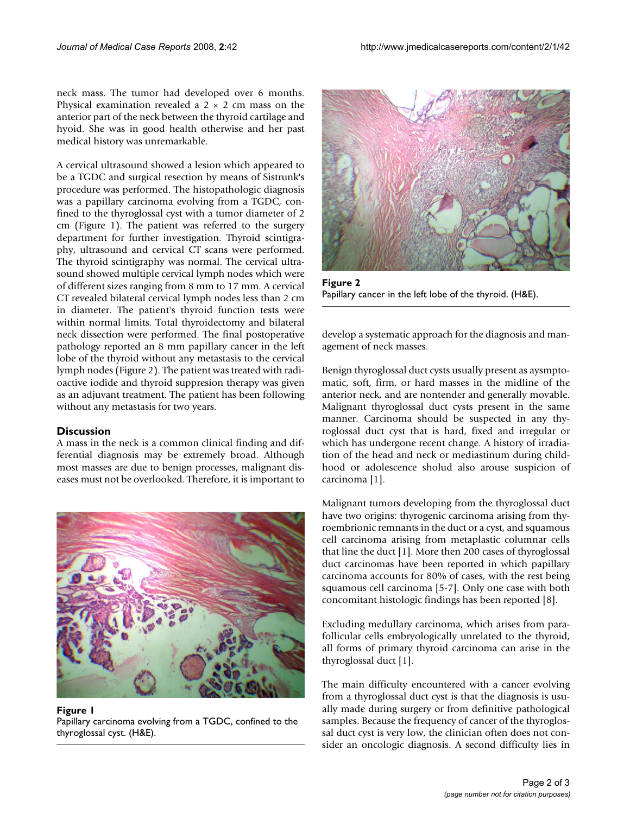neck mass. The tumor had developed over 6 months. Physical examination revealed a  $2 \times 2$  cm mass on the anterior part of the neck between the thyroid cartilage and hyoid. She was in good health otherwise and her past medical history was unremarkable.

A cervical ultrasound showed a lesion which appeared to be a TGDC and surgical resection by means of Sistrunk's procedure was performed. The histopathologic diagnosis was a papillary carcinoma evolving from a TGDC, confined to the thyroglossal cyst with a tumor diameter of 2 cm (Figure 1). The patient was referred to the surgery department for further investigation. Thyroid scintigraphy, ultrasound and cervical CT scans were performed. The thyroid scintigraphy was normal. The cervical ultrasound showed multiple cervical lymph nodes which were of different sizes ranging from 8 mm to 17 mm. A cervical CT revealed bilateral cervical lymph nodes less than 2 cm in diameter. The patient's thyroid function tests were within normal limits. Total thyroidectomy and bilateral neck dissection were performed. The final postoperative pathology reported an 8 mm papillary cancer in the left lobe of the thyroid without any metastasis to the cervical lymph nodes (Figure 2). The patient was treated with radioactive iodide and thyroid suppresion therapy was given as an adjuvant treatment. The patient has been following without any metastasis for two years.

## **Discussion**

A mass in the neck is a common clinical finding and differential diagnosis may be extremely broad. Although most masses are due to benign processes, malignant diseases must not be overlooked. Therefore, it is important to



**Figure 1** Papillary carcinoma evolving from a TGDC, confined to the thyroglossal cyst. (H&E).



**Figure 2** Papillary cancer in the left lobe of the thyroid. (H&E).

develop a systematic approach for the diagnosis and management of neck masses.

Benign thyroglossal duct cysts usually present as aysmptomatic, soft, firm, or hard masses in the midline of the anterior neck, and are nontender and generally movable. Malignant thyroglossal duct cysts present in the same manner. Carcinoma should be suspected in any thyroglossal duct cyst that is hard, fixed and irregular or which has undergone recent change. A history of irradiation of the head and neck or mediastinum during childhood or adolescence sholud also arouse suspicion of carcinoma [1].

Malignant tumors developing from the thyroglossal duct have two origins: thyrogenic carcinoma arising from thyroembrionic remnants in the duct or a cyst, and squamous cell carcinoma arising from metaplastic columnar cells that line the duct [1]. More then 200 cases of thyroglossal duct carcinomas have been reported in which papillary carcinoma accounts for 80% of cases, with the rest being squamous cell carcinoma [5-7]. Only one case with both concomitant histologic findings has been reported [8].

Excluding medullary carcinoma, which arises from parafollicular cells embryologically unrelated to the thyroid, all forms of primary thyroid carcinoma can arise in the thyroglossal duct [1].

The main difficulty encountered with a cancer evolving from a thyroglossal duct cyst is that the diagnosis is usually made during surgery or from definitive pathological samples. Because the frequency of cancer of the thyroglossal duct cyst is very low, the clinician often does not consider an oncologic diagnosis. A second difficulty lies in